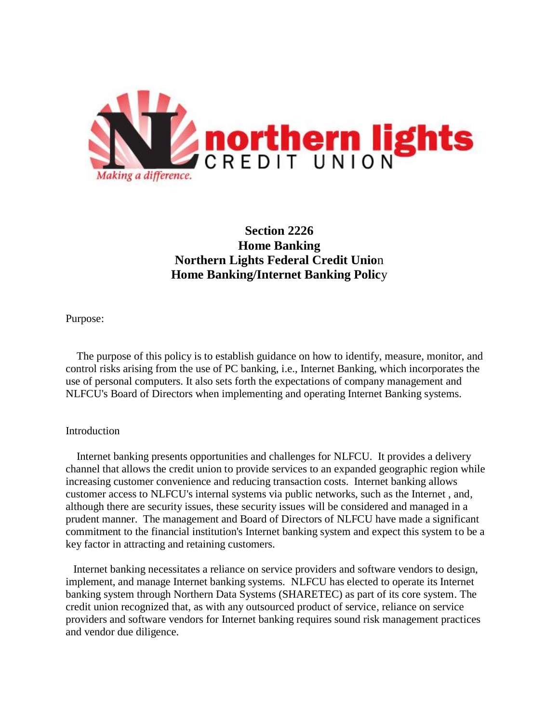

# **Section 2226 Home Banking Northern Lights Federal Credit Unio**n **Home Banking/Internet Banking Polic**y

Purpose:

 The purpose of this policy is to establish guidance on how to identify, measure, monitor, and control risks arising from the use of PC banking, i.e., Internet Banking, which incorporates the use of personal computers. It also sets forth the expectations of company management and NLFCU's Board of Directors when implementing and operating Internet Banking systems.

## Introduction

Internet banking presents opportunities and challenges for NLFCU. It provides a delivery channel that allows the credit union to provide services to an expanded geographic region while increasing customer convenience and reducing transaction costs. Internet banking allows customer access to NLFCU's internal systems via public networks, such as the Internet , and, although there are security issues, these security issues will be considered and managed in a prudent manner. The management and Board of Directors of NLFCU have made a significant commitment to the financial institution's Internet banking system and expect this system to be a key factor in attracting and retaining customers.

Internet banking necessitates a reliance on service providers and software vendors to design, implement, and manage Internet banking systems. NLFCU has elected to operate its Internet banking system through Northern Data Systems (SHARETEC) as part of its core system. The credit union recognized that, as with any outsourced product of service, reliance on service providers and software vendors for Internet banking requires sound risk management practices and vendor due diligence.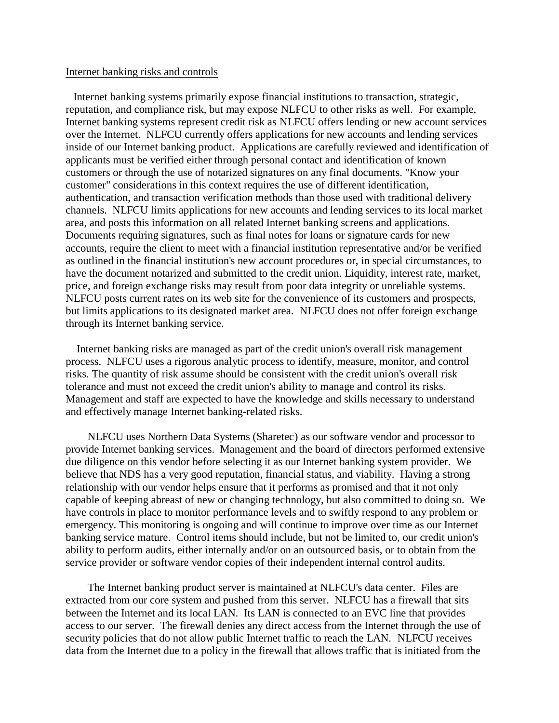## Internet banking risks and controls

Internet banking systems primarily expose financial institutions to transaction, strategic, reputation, and compliance risk, but may expose NLFCU to other risks as well. For example, Internet banking systems represent credit risk as NLFCU offers lending or new account services over the Internet. NLFCU currently offers applications for new accounts and lending services inside of our Internet banking product. Applications are carefully reviewed and identification of applicants must be verified either through personal contact and identification of known customers or through the use of notarized signatures on any final documents. "Know your customer" considerations in this context requires the use of different identification, authentication, and transaction verification methods than those used with traditional delivery channels. NLFCU limits applications for new accounts and lending services to its local market area, and posts this information on all related Internet banking screens and applications. Documents requiring signatures, such as final notes for loans or signature cards for new accounts, require the client to meet with a financial institution representative and/or be verified as outlined in the financial institution's new account procedures or, in special circumstances, to have the document notarized and submitted to the credit union. Liquidity, interest rate, market, price, and foreign exchange risks may result from poor data integrity or unreliable systems. NLFCU posts current rates on its web site for the convenience of its customers and prospects, but limits applications to its designated market area. NLFCU does not offer foreign exchange through its Internet banking service.

Internet banking risks are managed as part of the credit union's overall risk management process. NLFCU uses a rigorous analytic process to identify, measure, monitor, and control risks. The quantity of risk assume should be consistent with the credit union's overall risk tolerance and must not exceed the credit union's ability to manage and control its risks. Management and staff are expected to have the knowledge and skills necessary to understand and effectively manage Internet banking-related risks.

 NLFCU uses Northern Data Systems (Sharetec) as our software vendor and processor to provide Internet banking services. Management and the board of directors performed extensive due diligence on this vendor before selecting it as our Internet banking system provider. We believe that NDS has a very good reputation, financial status, and viability. Having a strong relationship with our vendor helps ensure that it performs as promised and that it not only capable of keeping abreast of new or changing technology, but also committed to doing so. We have controls in place to monitor performance levels and to swiftly respond to any problem or emergency. This monitoring is ongoing and will continue to improve over time as our Internet banking service mature. Control items should include, but not be limited to, our credit union's ability to perform audits, either internally and/or on an outsourced basis, or to obtain from the service provider or software vendor copies of their independent internal control audits.

 The Internet banking product server is maintained at NLFCU's data center. Files are extracted from our core system and pushed from this server. NLFCU has a firewall that sits between the Internet and its local LAN. Its LAN is connected to an EVC line that provides access to our server. The firewall denies any direct access from the Internet through the use of security policies that do not allow public Internet traffic to reach the LAN. NLFCU receives data from the Internet due to a policy in the firewall that allows traffic that is initiated from the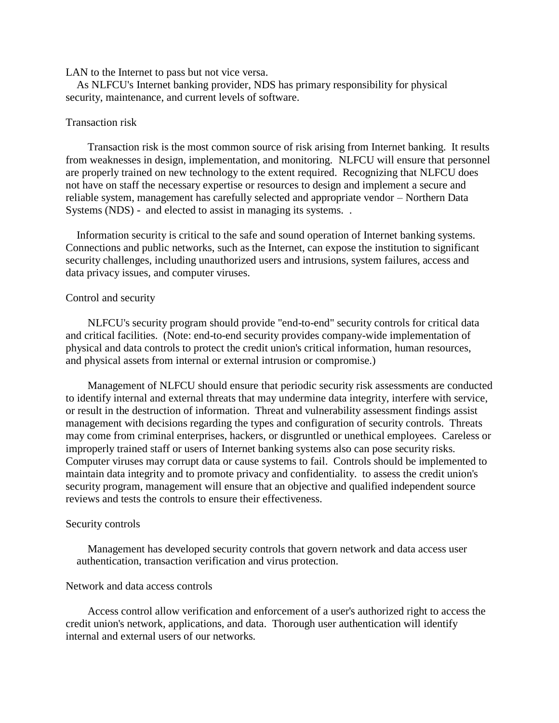#### LAN to the Internet to pass but not vice versa.

As NLFCU's Internet banking provider, NDS has primary responsibility for physical security, maintenance, and current levels of software.

## Transaction risk

 Transaction risk is the most common source of risk arising from Internet banking. It results from weaknesses in design, implementation, and monitoring. NLFCU will ensure that personnel are properly trained on new technology to the extent required. Recognizing that NLFCU does not have on staff the necessary expertise or resources to design and implement a secure and reliable system, management has carefully selected and appropriate vendor – Northern Data Systems (NDS) - and elected to assist in managing its systems...

Information security is critical to the safe and sound operation of Internet banking systems. Connections and public networks, such as the Internet, can expose the institution to significant security challenges, including unauthorized users and intrusions, system failures, access and data privacy issues, and computer viruses.

## Control and security

 NLFCU's security program should provide "end-to-end" security controls for critical data and critical facilities. (Note: end-to-end security provides company-wide implementation of physical and data controls to protect the credit union's critical information, human resources, and physical assets from internal or external intrusion or compromise.)

 Management of NLFCU should ensure that periodic security risk assessments are conducted to identify internal and external threats that may undermine data integrity, interfere with service, or result in the destruction of information. Threat and vulnerability assessment findings assist management with decisions regarding the types and configuration of security controls. Threats may come from criminal enterprises, hackers, or disgruntled or unethical employees. Careless or improperly trained staff or users of Internet banking systems also can pose security risks. Computer viruses may corrupt data or cause systems to fail. Controls should be implemented to maintain data integrity and to promote privacy and confidentiality. to assess the credit union's security program, management will ensure that an objective and qualified independent source reviews and tests the controls to ensure their effectiveness.

#### Security controls

 Management has developed security controls that govern network and data access user authentication, transaction verification and virus protection.

## Network and data access controls

 Access control allow verification and enforcement of a user's authorized right to access the credit union's network, applications, and data. Thorough user authentication will identify internal and external users of our networks.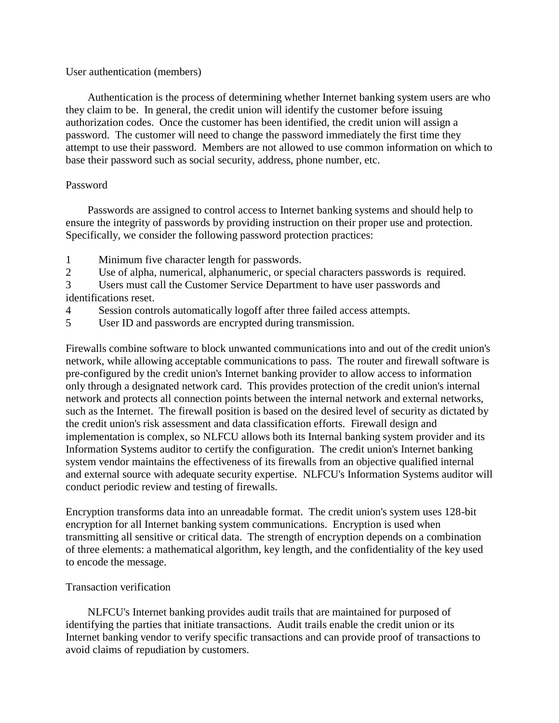## User authentication (members)

 Authentication is the process of determining whether Internet banking system users are who they claim to be. In general, the credit union will identify the customer before issuing authorization codes. Once the customer has been identified, the credit union will assign a password. The customer will need to change the password immediately the first time they attempt to use their password. Members are not allowed to use common information on which to base their password such as social security, address, phone number, etc.

# Password

 Passwords are assigned to control access to Internet banking systems and should help to ensure the integrity of passwords by providing instruction on their proper use and protection. Specifically, we consider the following password protection practices:

- 1 Minimum five character length for passwords.
- 2 Use of alpha, numerical, alphanumeric, or special characters passwords is required.

3 Users must call the Customer Service Department to have user passwords and identifications reset.

- 4 Session controls automatically logoff after three failed access attempts.
- 5 User ID and passwords are encrypted during transmission.

Firewalls combine software to block unwanted communications into and out of the credit union's network, while allowing acceptable communications to pass. The router and firewall software is pre-configured by the credit union's Internet banking provider to allow access to information only through a designated network card. This provides protection of the credit union's internal network and protects all connection points between the internal network and external networks, such as the Internet. The firewall position is based on the desired level of security as dictated by the credit union's risk assessment and data classification efforts. Firewall design and implementation is complex, so NLFCU allows both its Internal banking system provider and its Information Systems auditor to certify the configuration. The credit union's Internet banking system vendor maintains the effectiveness of its firewalls from an objective qualified internal and external source with adequate security expertise. NLFCU's Information Systems auditor will conduct periodic review and testing of firewalls.

Encryption transforms data into an unreadable format. The credit union's system uses 128-bit encryption for all Internet banking system communications. Encryption is used when transmitting all sensitive or critical data. The strength of encryption depends on a combination of three elements: a mathematical algorithm, key length, and the confidentiality of the key used to encode the message.

# Transaction verification

 NLFCU's Internet banking provides audit trails that are maintained for purposed of identifying the parties that initiate transactions. Audit trails enable the credit union or its Internet banking vendor to verify specific transactions and can provide proof of transactions to avoid claims of repudiation by customers.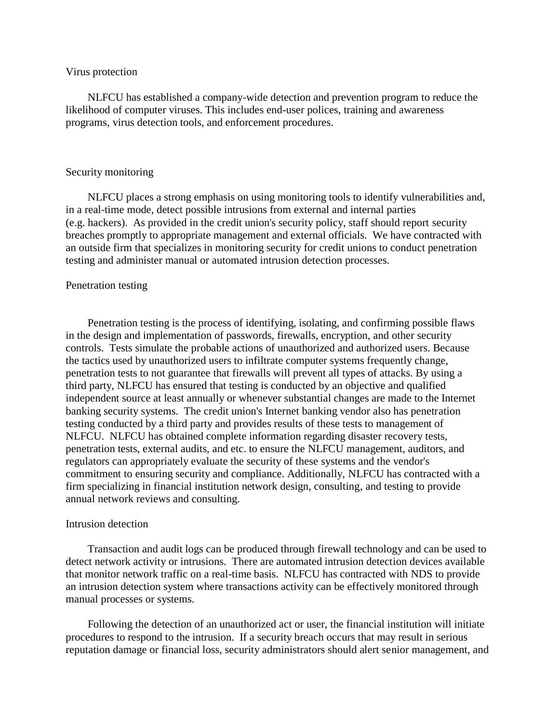#### Virus protection

 NLFCU has established a company-wide detection and prevention program to reduce the likelihood of computer viruses. This includes end-user polices, training and awareness programs, virus detection tools, and enforcement procedures.

## Security monitoring

 NLFCU places a strong emphasis on using monitoring tools to identify vulnerabilities and, in a real-time mode, detect possible intrusions from external and internal parties (e.g. hackers). As provided in the credit union's security policy, staff should report security breaches promptly to appropriate management and external officials. We have contracted with an outside firm that specializes in monitoring security for credit unions to conduct penetration testing and administer manual or automated intrusion detection processes.

## Penetration testing

 Penetration testing is the process of identifying, isolating, and confirming possible flaws in the design and implementation of passwords, firewalls, encryption, and other security controls. Tests simulate the probable actions of unauthorized and authorized users. Because the tactics used by unauthorized users to infiltrate computer systems frequently change, penetration tests to not guarantee that firewalls will prevent all types of attacks. By using a third party, NLFCU has ensured that testing is conducted by an objective and qualified independent source at least annually or whenever substantial changes are made to the Internet banking security systems. The credit union's Internet banking vendor also has penetration testing conducted by a third party and provides results of these tests to management of NLFCU. NLFCU has obtained complete information regarding disaster recovery tests, penetration tests, external audits, and etc. to ensure the NLFCU management, auditors, and regulators can appropriately evaluate the security of these systems and the vendor's commitment to ensuring security and compliance. Additionally, NLFCU has contracted with a firm specializing in financial institution network design, consulting, and testing to provide annual network reviews and consulting.

## Intrusion detection

 Transaction and audit logs can be produced through firewall technology and can be used to detect network activity or intrusions. There are automated intrusion detection devices available that monitor network traffic on a real-time basis. NLFCU has contracted with NDS to provide an intrusion detection system where transactions activity can be effectively monitored through manual processes or systems.

 Following the detection of an unauthorized act or user, the financial institution will initiate procedures to respond to the intrusion. If a security breach occurs that may result in serious reputation damage or financial loss, security administrators should alert senior management, and